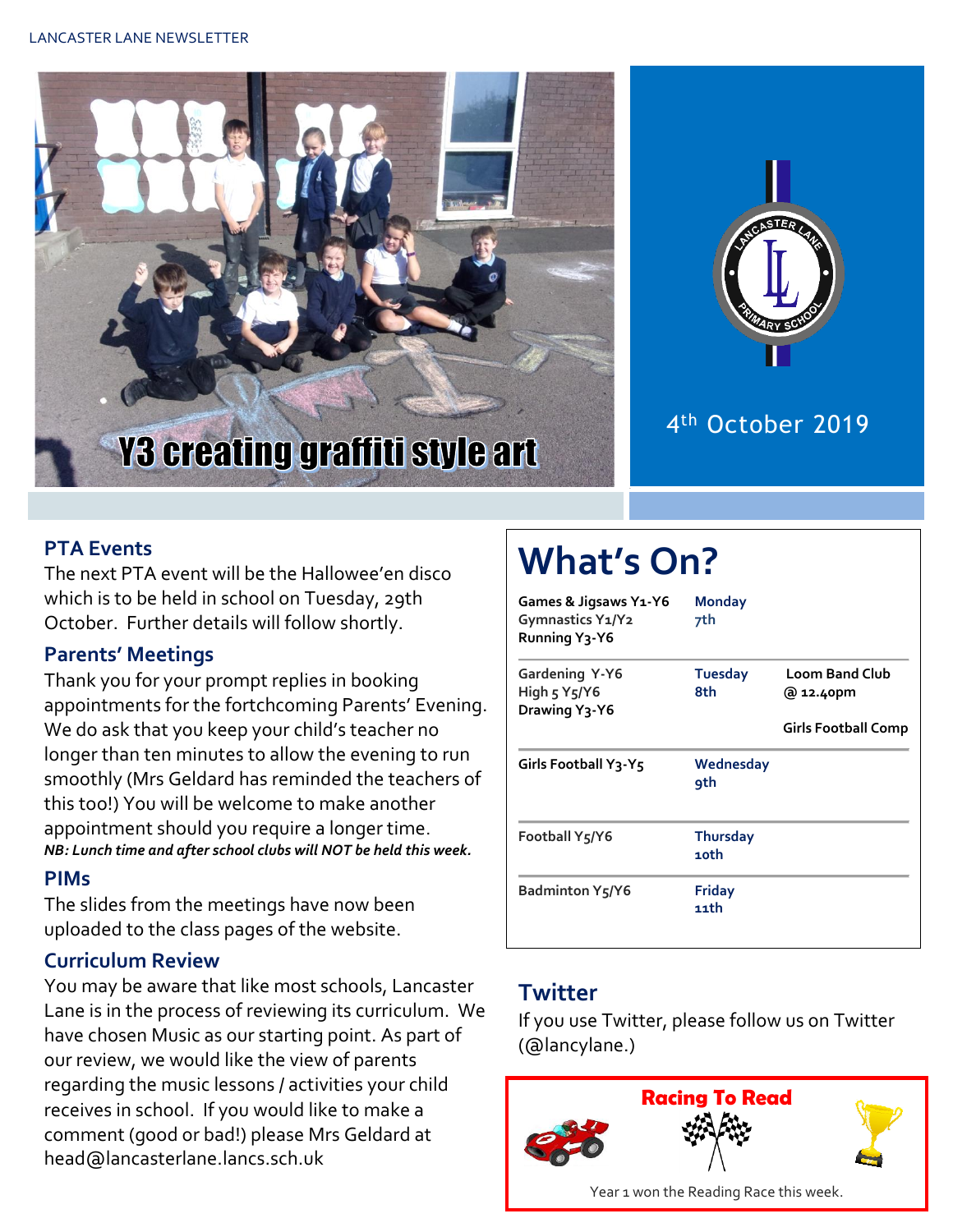



## 4 th October 2019

#### **PTA Events**

The next PTA event will be the Hallowee'en disco which is to be held in school on Tuesday, 29th October. Further details will follow shortly.

#### **Parents' Meetings**

Thank you for your prompt replies in booking appointments for the fortchcoming Parents' Evening. We do ask that you keep your child's teacher no longer than ten minutes to allow the evening to run smoothly (Mrs Geldard has reminded the teachers of this too!) You will be welcome to make another appointment should you require a longer time. *NB: Lunch time and after school clubs will NOT be held this week.*

#### **PIMs**

The slides from the meetings have now been uploaded to the class pages of the website.

#### **Curriculum Review**

You may be aware that like most schools, Lancaster Lane is in the process of reviewing its curriculum. We have chosen Music as our starting point. As part of our review, we would like the view of parents regarding the music lessons / activities your child receives in school. If you would like to make a comment (good or bad!) please Mrs Geldard at head@lancasterlane.lancs.sch.uk

# **What's On?**

| Games & Jigsaws Y1-Y6<br>Gymnastics Y1/Y2<br>Running Y3-Y6 | <b>Monday</b><br>7th    |                                    |
|------------------------------------------------------------|-------------------------|------------------------------------|
| Gardening Y-Y6<br>High 5 Y5/Y6<br>Drawing Y3-Y6            | <b>Tuesday</b><br>8th   | <b>Loom Band Club</b><br>@ 12.40pm |
|                                                            |                         | <b>Girls Football Comp</b>         |
| Girls Football Y3-Y5                                       | Wednesday<br><b>9th</b> |                                    |
| Football Y5/Y6                                             | <b>Thursday</b><br>10th |                                    |
| <b>Badminton Y5/Y6</b>                                     | <b>Friday</b><br>11th   |                                    |

#### **Twitter**

If you use Twitter, please follow us on Twitter (@lancylane.)

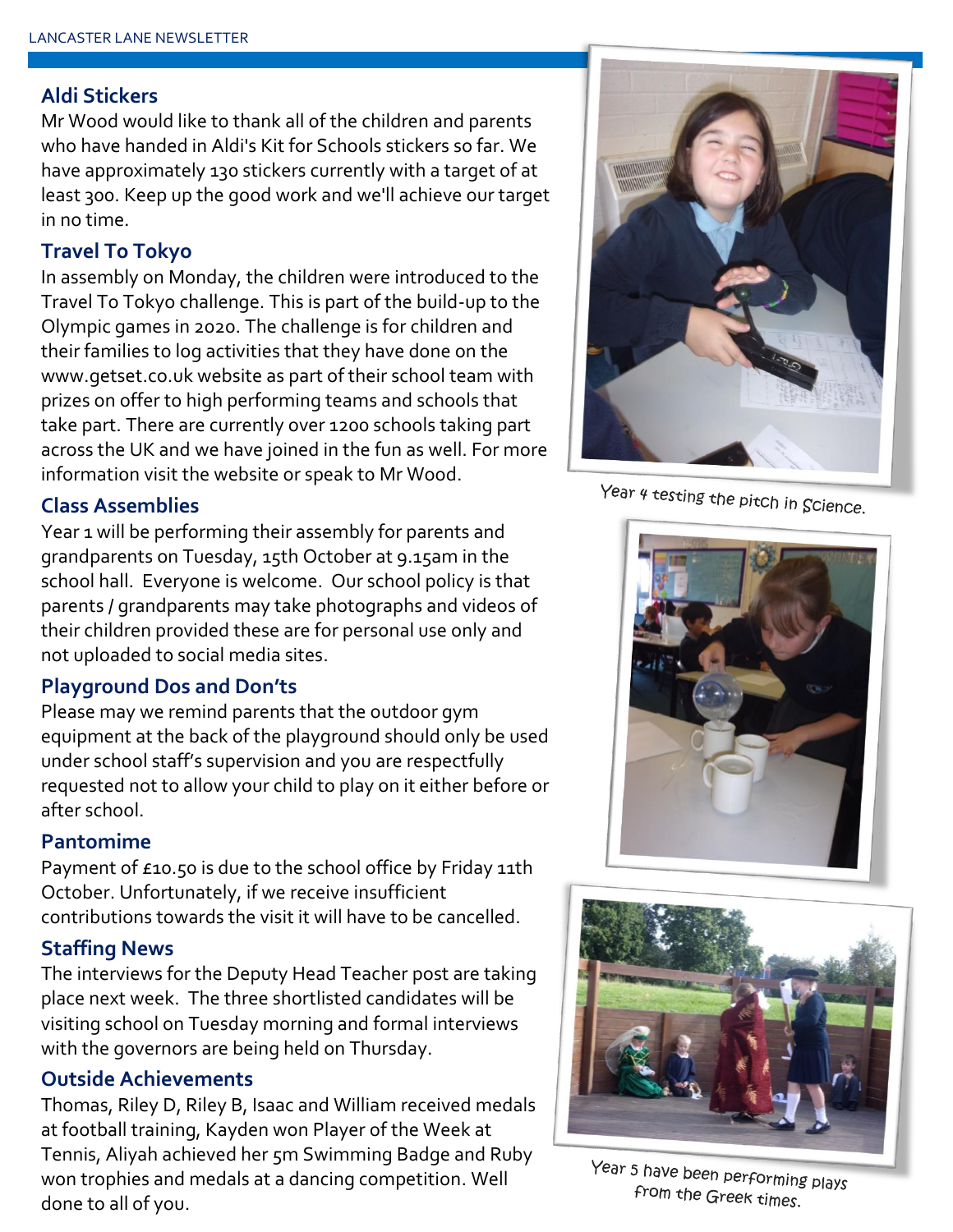#### **Aldi Stickers**

Mr Wood would like to thank all of the children and parents who have handed in Aldi's Kit for Schools stickers so far. We have approximately 130 stickers currently with a target of at least 300. Keep up the good work and we'll achieve our target in no time.

#### **Travel To Tokyo**

In assembly on Monday, the children were introduced to the Travel To Tokyo challenge. This is part of the build-up to the Olympic games in 2020. The challenge is for children and their families to log activities that they have done on the www.getset.co.uk website as part of their school team with prizes on offer to high performing teams and schools that take part. There are currently over 1200 schools taking part across the UK and we have joined in the fun as well. For more information visit the website or speak to Mr Wood.

#### **Class Assemblies**

Year 1 will be performing their assembly for parents and grandparents on Tuesday, 15th October at 9.15am in the school hall. Everyone is welcome. Our school policy is that parents / grandparents may take photographs and videos of their children provided these are for personal use only and not uploaded to social media sites.

#### **Playground Dos and Don'ts**

Please may we remind parents that the outdoor gym equipment at the back of the playground should only be used under school staff's supervision and you are respectfully requested not to allow your child to play on it either before or after school.

#### **Pantomime**

Payment of £10.50 is due to the school office by Friday 11th October. Unfortunately, if we receive insufficient contributions towards the visit it will have to be cancelled.

#### **Staffing News**

The interviews for the Deputy Head Teacher post are taking place next week. The three shortlisted candidates will be visiting school on Tuesday morning and formal interviews with the governors are being held on Thursday.

#### **Outside Achievements**

Thomas, Riley D, Riley B, Isaac and William received medals at football training, Kayden won Player of the Week at Tennis, Aliyah achieved her 5m Swimming Badge and Ruby won trophies and medals at a dancing competition. Well done to all of you.



Year 4 testing the pitch in Science.





Year 5 have been performing plays from the Greek times.